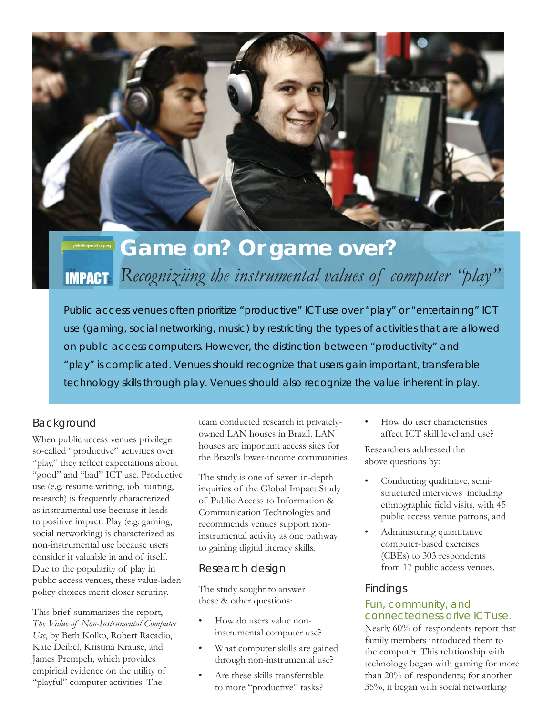

# **Game on? Or game over? IMPACT:** Recogniziing the instrumental values of computer "play"

Public access venues often prioritize "productive" ICT use over "play" or "entertaining" ICT use (gaming, social networking, music) by restricting the types of activities that are allowed on public access computers. However, the distinction between "productivity" and "play" is complicated. Venues should recognize that users gain important, transferable technology skills through play. Venues should also recognize the value inherent in play.

# Background

When public access venues privilege so-called "productive" activities over "play," they reflect expectations about "good" and "bad" ICT use. Productive use (e.g. resume writing, job hunting, research) is frequently characterized as instrumental use because it leads to positive impact. Play (e.g. gaming, social networking) is characterized as non-instrumental use because users consider it valuable in and of itself. Due to the popularity of play in public access venues, these value-laden policy choices merit closer scrutiny.

This brief summarizes the report, *The Value of Non-Instrumental Computer Use*, by Beth Kolko, Robert Racadio, Kate Deibel, Kristina Krause, and James Prempeh, which provides empirical evidence on the utility of "playful" computer activities. The

team conducted research in privatelyowned LAN houses in Brazil. LAN houses are important access sites for the Brazil's lower-income communities.

The study is one of seven in-depth inquiries of the Global Impact Study of Public Access to Information & Communication Technologies and recommends venues support noninstrumental activity as one pathway to gaining digital literacy skills.

## Research design

The study sought to answer these & other questions:

- How do users value noninstrumental computer use?
- What computer skills are gained through non-instrumental use?
- Are these skills transferrable to more "productive" tasks?

• How do user characteristics affect ICT skill level and use?

Researchers addressed the above questions by:

- Conducting qualitative, semistructured interviews including ethnographic field visits, with 45 public access venue patrons, and
- Administering quantitative computer-based exercises (CBEs) to 303 respondents from 17 public access venues.

# Findings

### Fun, community, and connectedness drive ICT use.

Nearly 60% of respondents report that family members introduced them to the computer. This relationship with technology began with gaming for more than 20% of respondents; for another 35%, it began with social networking